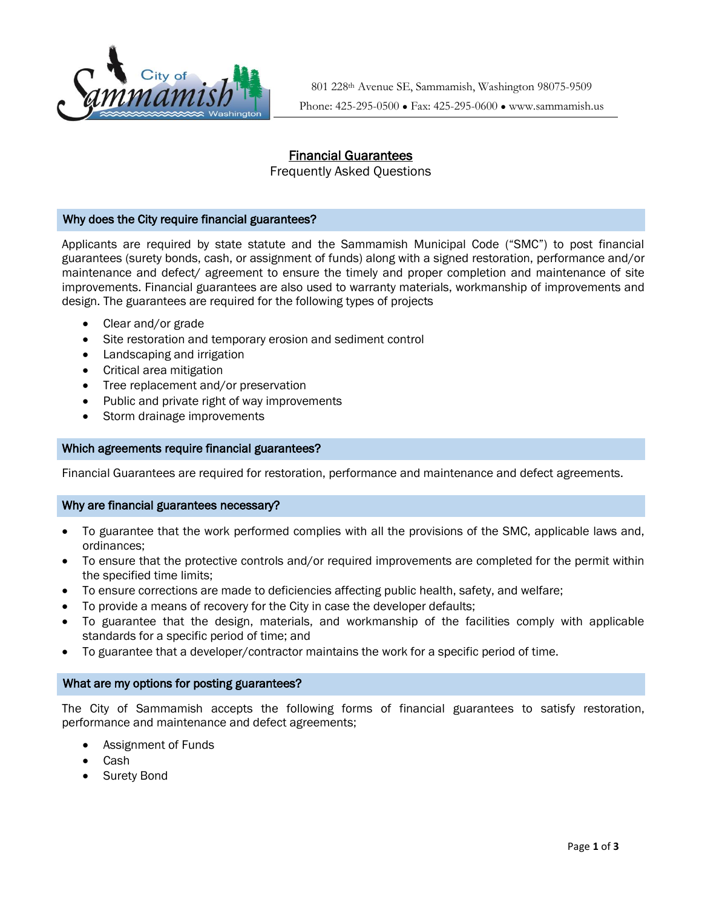

801 228th Avenue SE, Sammamish, Washington 98075-9509 Phone: 425-295-0500 ● Fax: 425-295-0600 ● www.sammamish.us

# Financial Guarantees

Frequently Asked Questions

## Why does the City require financial guarantees?

Applicants are required by state statute and the Sammamish Municipal Code ("SMC") to post financial guarantees (surety bonds, cash, or assignment of funds) along with a signed restoration, performance and/or maintenance and defect/ agreement to ensure the timely and proper completion and maintenance of site improvements. Financial guarantees are also used to warranty materials, workmanship of improvements and design. The guarantees are required for the following types of projects

- Clear and/or grade
- Site restoration and temporary erosion and sediment control
- Landscaping and irrigation
- Critical area mitigation
- Tree replacement and/or preservation
- Public and private right of way improvements
- Storm drainage improvements

# 2. Which agreements require financial guarantees?

Financial Guarantees are required for restoration, performance and maintenance and defect agreements.

### Why are financial guarantees necessary?

- To guarantee that the work performed complies with all the provisions of the SMC, applicable laws and, ordinances;
- To ensure that the protective controls and/or required improvements are completed for the permit within the specified time limits;
- To ensure corrections are made to deficiencies affecting public health, safety, and welfare;
- To provide a means of recovery for the City in case the developer defaults;
- To guarantee that the design, materials, and workmanship of the facilities comply with applicable standards for a specific period of time; and
- To guarantee that a developer/contractor maintains the work for a specific period of time.

### What are my options for posting guarantees?

The City of Sammamish accepts the following forms of financial guarantees to satisfy restoration, performance and maintenance and defect agreements;

- Assignment of Funds
- Cash
- Surety Bond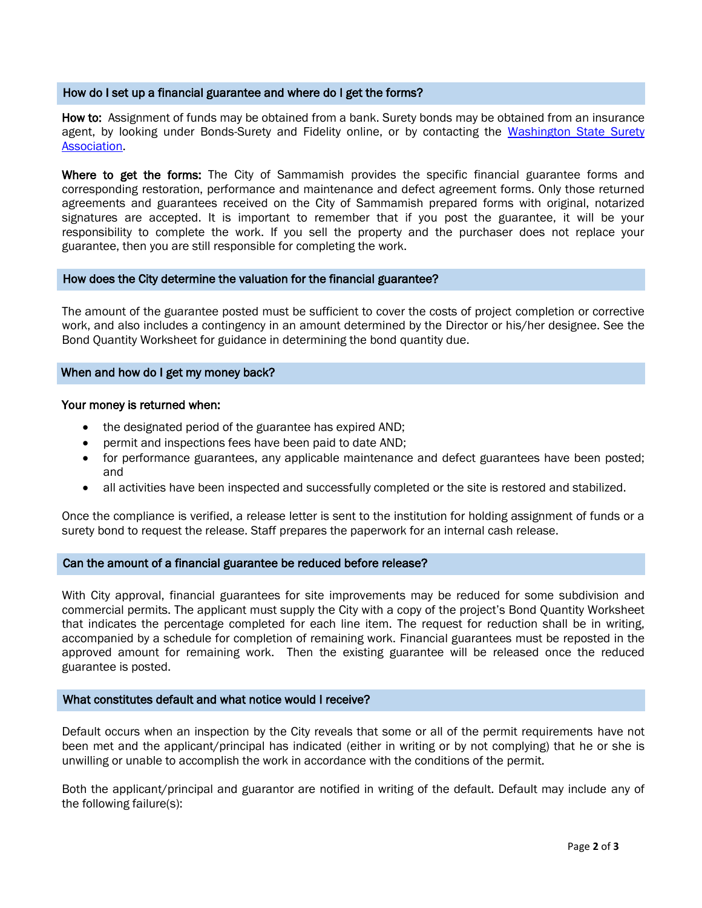#### How do I set up a financial guarantee and where do I get the forms?

How to: Assignment of funds may be obtained from a bank. Surety bonds may be obtained from an insurance agent, by looking under Bonds-Surety and Fidelity online, or by contacting the Washington State Surety [Association.](http://www.sawonline.org/)

Where to get the forms: The City of Sammamish provides the specific financial guarantee forms and corresponding restoration, performance and maintenance and defect agreement forms. Only those returned agreements and guarantees received on the City of Sammamish prepared forms with original, notarized signatures are accepted. It is important to remember that if you post the guarantee, it will be your responsibility to complete the work. If you sell the property and the purchaser does not replace your guarantee, then you are still responsible for completing the work.

### How does the City determine the valuation for the financial guarantee?

The amount of the guarantee posted must be sufficient to cover the costs of project completion or corrective work, and also includes a contingency in an amount determined by the Director or his/her designee. See the Bond Quantity Worksheet for guidance in determining the bond quantity due.

## When and how do I get my money back?

#### Your money is returned when:

- the designated period of the guarantee has expired AND;
- permit and inspections fees have been paid to date AND;
- for performance guarantees, any applicable maintenance and defect guarantees have been posted; and
- all activities have been inspected and successfully completed or the site is restored and stabilized.

Once the compliance is verified, a release letter is sent to the institution for holding assignment of funds or a surety bond to request the release. Staff prepares the paperwork for an internal cash release.

### Can the amount of a financial guarantee be reduced before release?

With City approval, financial guarantees for site improvements may be reduced for some subdivision and commercial permits. The applicant must supply the City with a copy of the project's Bond Quantity Worksheet that indicates the percentage completed for each line item. The request for reduction shall be in writing, accompanied by a schedule for completion of remaining work. Financial guarantees must be reposted in the approved amount for remaining work. Then the existing guarantee will be released once the reduced guarantee is posted.

### What constitutes default and what notice would I receive?

Default occurs when an inspection by the City reveals that some or all of the permit requirements have not been met and the applicant/principal has indicated (either in writing or by not complying) that he or she is unwilling or unable to accomplish the work in accordance with the conditions of the permit.

Both the applicant/principal and guarantor are notified in writing of the default. Default may include any of the following failure(s):